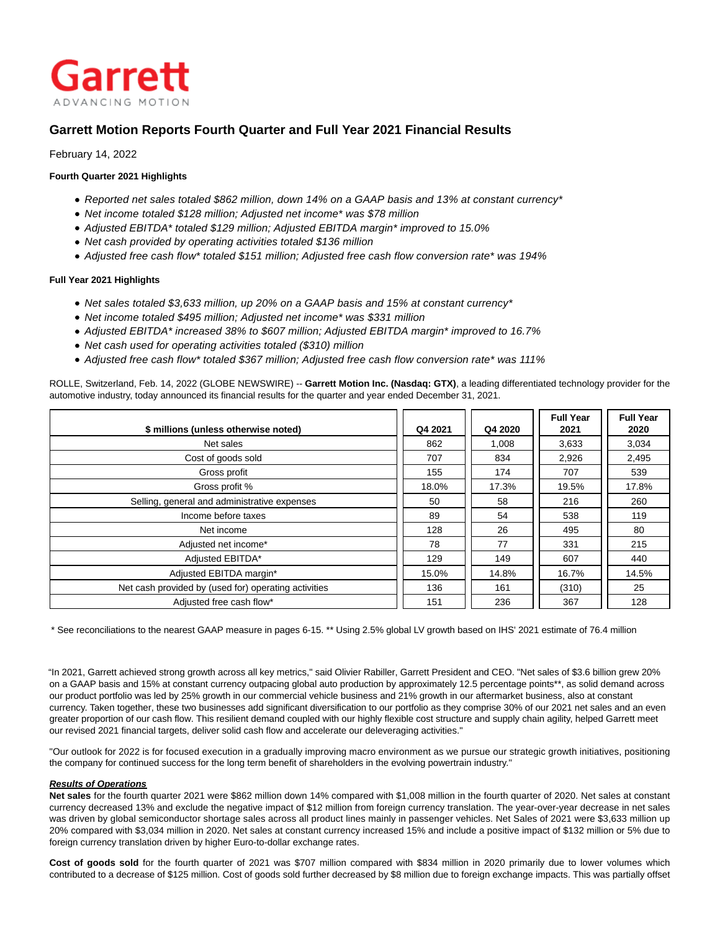

# **Garrett Motion Reports Fourth Quarter and Full Year 2021 Financial Results**

February 14, 2022

## **Fourth Quarter 2021 Highlights**

- Reported net sales totaled \$862 million, down 14% on a GAAP basis and 13% at constant currency\*
- Net income totaled \$128 million; Adjusted net income\* was \$78 million
- Adjusted EBITDA\* totaled \$129 million; Adjusted EBITDA margin\* improved to 15.0%
- Net cash provided by operating activities totaled \$136 million
- Adjusted free cash flow\* totaled \$151 million; Adjusted free cash flow conversion rate\* was 194%

## **Full Year 2021 Highlights**

- Net sales totaled \$3,633 million, up 20% on a GAAP basis and 15% at constant currency\*
- Net income totaled \$495 million; Adjusted net income\* was \$331 million
- Adjusted EBITDA\* increased 38% to \$607 million; Adjusted EBITDA margin\* improved to 16.7%
- Net cash used for operating activities totaled (\$310) million
- Adjusted free cash flow\* totaled \$367 million; Adjusted free cash flow conversion rate\* was 111%

ROLLE, Switzerland, Feb. 14, 2022 (GLOBE NEWSWIRE) -- **Garrett Motion Inc. (Nasdaq: GTX)**, a leading differentiated technology provider for the automotive industry, today announced its financial results for the quarter and year ended December 31, 2021.

| \$ millions (unless otherwise noted)                 | Q4 2021 | Q4 2020 | <b>Full Year</b><br>2021 | <b>Full Year</b><br>2020 |
|------------------------------------------------------|---------|---------|--------------------------|--------------------------|
| Net sales                                            | 862     | 1.008   | 3,633                    | 3,034                    |
| Cost of goods sold                                   | 707     | 834     | 2,926                    | 2,495                    |
| Gross profit                                         | 155     | 174     | 707                      | 539                      |
| Gross profit %                                       | 18.0%   | 17.3%   | 19.5%                    | 17.8%                    |
| Selling, general and administrative expenses         | 50      | 58      | 216                      | 260                      |
| Income before taxes                                  | 89      | 54      | 538                      | 119                      |
| Net income                                           | 128     | 26      | 495                      | 80                       |
| Adjusted net income*                                 | 78      | 77      | 331                      | 215                      |
| Adjusted EBITDA*                                     | 129     | 149     | 607                      | 440                      |
| Adjusted EBITDA margin*                              | 15.0%   | 14.8%   | 16.7%                    | 14.5%                    |
| Net cash provided by (used for) operating activities | 136     | 161     | (310)                    | 25                       |
| Adjusted free cash flow*                             | 151     | 236     | 367                      | 128                      |

\* See reconciliations to the nearest GAAP measure in pages 6-15. \*\* Using 2.5% global LV growth based on IHS' 2021 estimate of 76.4 million

"In 2021, Garrett achieved strong growth across all key metrics," said Olivier Rabiller, Garrett President and CEO. "Net sales of \$3.6 billion grew 20% on a GAAP basis and 15% at constant currency outpacing global auto production by approximately 12.5 percentage points\*\*, as solid demand across our product portfolio was led by 25% growth in our commercial vehicle business and 21% growth in our aftermarket business, also at constant currency. Taken together, these two businesses add significant diversification to our portfolio as they comprise 30% of our 2021 net sales and an even greater proportion of our cash flow. This resilient demand coupled with our highly flexible cost structure and supply chain agility, helped Garrett meet our revised 2021 financial targets, deliver solid cash flow and accelerate our deleveraging activities."

"Our outlook for 2022 is for focused execution in a gradually improving macro environment as we pursue our strategic growth initiatives, positioning the company for continued success for the long term benefit of shareholders in the evolving powertrain industry."

## **Results of Operations**

**Net sales** for the fourth quarter 2021 were \$862 million down 14% compared with \$1,008 million in the fourth quarter of 2020. Net sales at constant currency decreased 13% and exclude the negative impact of \$12 million from foreign currency translation. The year-over-year decrease in net sales was driven by global semiconductor shortage sales across all product lines mainly in passenger vehicles. Net Sales of 2021 were \$3,633 million up 20% compared with \$3,034 million in 2020. Net sales at constant currency increased 15% and include a positive impact of \$132 million or 5% due to foreign currency translation driven by higher Euro-to-dollar exchange rates.

**Cost of goods sold** for the fourth quarter of 2021 was \$707 million compared with \$834 million in 2020 primarily due to lower volumes which contributed to a decrease of \$125 million. Cost of goods sold further decreased by \$8 million due to foreign exchange impacts. This was partially offset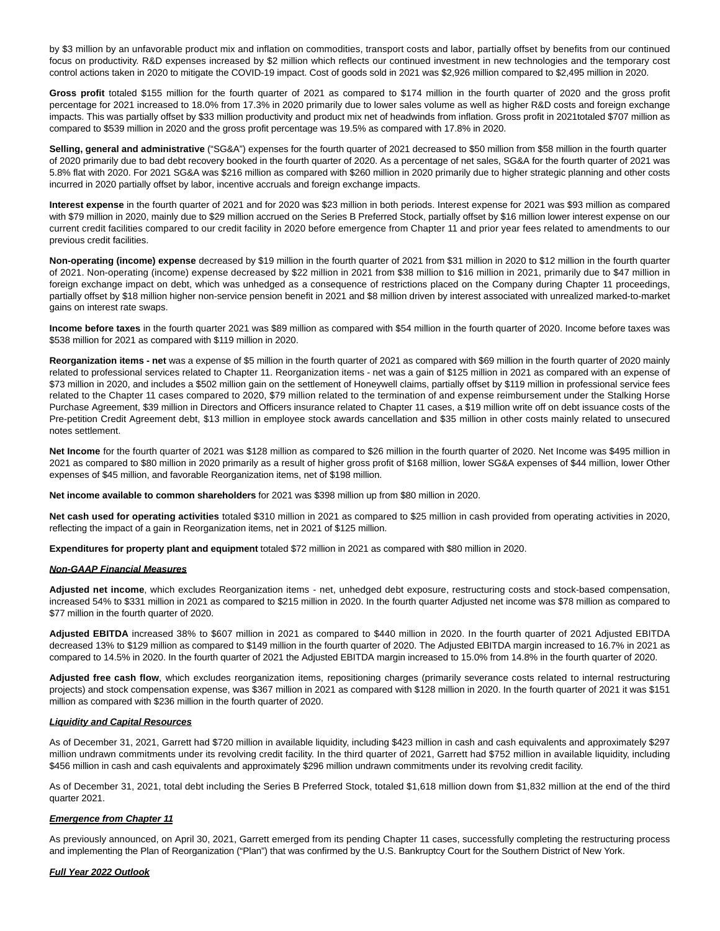by \$3 million by an unfavorable product mix and inflation on commodities, transport costs and labor, partially offset by benefits from our continued focus on productivity. R&D expenses increased by \$2 million which reflects our continued investment in new technologies and the temporary cost control actions taken in 2020 to mitigate the COVID-19 impact. Cost of goods sold in 2021 was \$2,926 million compared to \$2,495 million in 2020.

**Gross profit** totaled \$155 million for the fourth quarter of 2021 as compared to \$174 million in the fourth quarter of 2020 and the gross profit percentage for 2021 increased to 18.0% from 17.3% in 2020 primarily due to lower sales volume as well as higher R&D costs and foreign exchange impacts. This was partially offset by \$33 million productivity and product mix net of headwinds from inflation. Gross profit in 2021totaled \$707 million as compared to \$539 million in 2020 and the gross profit percentage was 19.5% as compared with 17.8% in 2020.

**Selling, general and administrative** ("SG&A") expenses for the fourth quarter of 2021 decreased to \$50 million from \$58 million in the fourth quarter of 2020 primarily due to bad debt recovery booked in the fourth quarter of 2020. As a percentage of net sales, SG&A for the fourth quarter of 2021 was 5.8% flat with 2020. For 2021 SG&A was \$216 million as compared with \$260 million in 2020 primarily due to higher strategic planning and other costs incurred in 2020 partially offset by labor, incentive accruals and foreign exchange impacts.

**Interest expense** in the fourth quarter of 2021 and for 2020 was \$23 million in both periods. Interest expense for 2021 was \$93 million as compared with \$79 million in 2020, mainly due to \$29 million accrued on the Series B Preferred Stock, partially offset by \$16 million lower interest expense on our current credit facilities compared to our credit facility in 2020 before emergence from Chapter 11 and prior year fees related to amendments to our previous credit facilities.

**Non-operating (income) expense** decreased by \$19 million in the fourth quarter of 2021 from \$31 million in 2020 to \$12 million in the fourth quarter of 2021. Non-operating (income) expense decreased by \$22 million in 2021 from \$38 million to \$16 million in 2021, primarily due to \$47 million in foreign exchange impact on debt, which was unhedged as a consequence of restrictions placed on the Company during Chapter 11 proceedings, partially offset by \$18 million higher non-service pension benefit in 2021 and \$8 million driven by interest associated with unrealized marked-to-market gains on interest rate swaps.

**Income before taxes** in the fourth quarter 2021 was \$89 million as compared with \$54 million in the fourth quarter of 2020. Income before taxes was \$538 million for 2021 as compared with \$119 million in 2020.

**Reorganization items - net** was a expense of \$5 million in the fourth quarter of 2021 as compared with \$69 million in the fourth quarter of 2020 mainly related to professional services related to Chapter 11. Reorganization items - net was a gain of \$125 million in 2021 as compared with an expense of \$73 million in 2020, and includes a \$502 million gain on the settlement of Honeywell claims, partially offset by \$119 million in professional service fees related to the Chapter 11 cases compared to 2020, \$79 million related to the termination of and expense reimbursement under the Stalking Horse Purchase Agreement, \$39 million in Directors and Officers insurance related to Chapter 11 cases, a \$19 million write off on debt issuance costs of the Pre-petition Credit Agreement debt, \$13 million in employee stock awards cancellation and \$35 million in other costs mainly related to unsecured notes settlement.

**Net Income** for the fourth quarter of 2021 was \$128 million as compared to \$26 million in the fourth quarter of 2020. Net Income was \$495 million in 2021 as compared to \$80 million in 2020 primarily as a result of higher gross profit of \$168 million, lower SG&A expenses of \$44 million, lower Other expenses of \$45 million, and favorable Reorganization items, net of \$198 million.

**Net income available to common shareholders** for 2021 was \$398 million up from \$80 million in 2020.

**Net cash used for operating activities** totaled \$310 million in 2021 as compared to \$25 million in cash provided from operating activities in 2020, reflecting the impact of a gain in Reorganization items, net in 2021 of \$125 million.

**Expenditures for property plant and equipment** totaled \$72 million in 2021 as compared with \$80 million in 2020.

#### **Non-GAAP Financial Measures**

**Adjusted net income**, which excludes Reorganization items - net, unhedged debt exposure, restructuring costs and stock-based compensation, increased 54% to \$331 million in 2021 as compared to \$215 million in 2020. In the fourth quarter Adjusted net income was \$78 million as compared to \$77 million in the fourth quarter of 2020.

**Adjusted EBITDA** increased 38% to \$607 million in 2021 as compared to \$440 million in 2020. In the fourth quarter of 2021 Adjusted EBITDA decreased 13% to \$129 million as compared to \$149 million in the fourth quarter of 2020. The Adjusted EBITDA margin increased to 16.7% in 2021 as compared to 14.5% in 2020. In the fourth quarter of 2021 the Adjusted EBITDA margin increased to 15.0% from 14.8% in the fourth quarter of 2020.

**Adjusted free cash flow**, which excludes reorganization items, repositioning charges (primarily severance costs related to internal restructuring projects) and stock compensation expense, was \$367 million in 2021 as compared with \$128 million in 2020. In the fourth quarter of 2021 it was \$151 million as compared with \$236 million in the fourth quarter of 2020.

#### **Liquidity and Capital Resources**

As of December 31, 2021, Garrett had \$720 million in available liquidity, including \$423 million in cash and cash equivalents and approximately \$297 million undrawn commitments under its revolving credit facility. In the third quarter of 2021, Garrett had \$752 million in available liquidity, including \$456 million in cash and cash equivalents and approximately \$296 million undrawn commitments under its revolving credit facility.

As of December 31, 2021, total debt including the Series B Preferred Stock, totaled \$1,618 million down from \$1,832 million at the end of the third quarter 2021.

#### **Emergence from Chapter 11**

As previously announced, on April 30, 2021, Garrett emerged from its pending Chapter 11 cases, successfully completing the restructuring process and implementing the Plan of Reorganization ("Plan") that was confirmed by the U.S. Bankruptcy Court for the Southern District of New York.

#### **Full Year 2022 Outlook**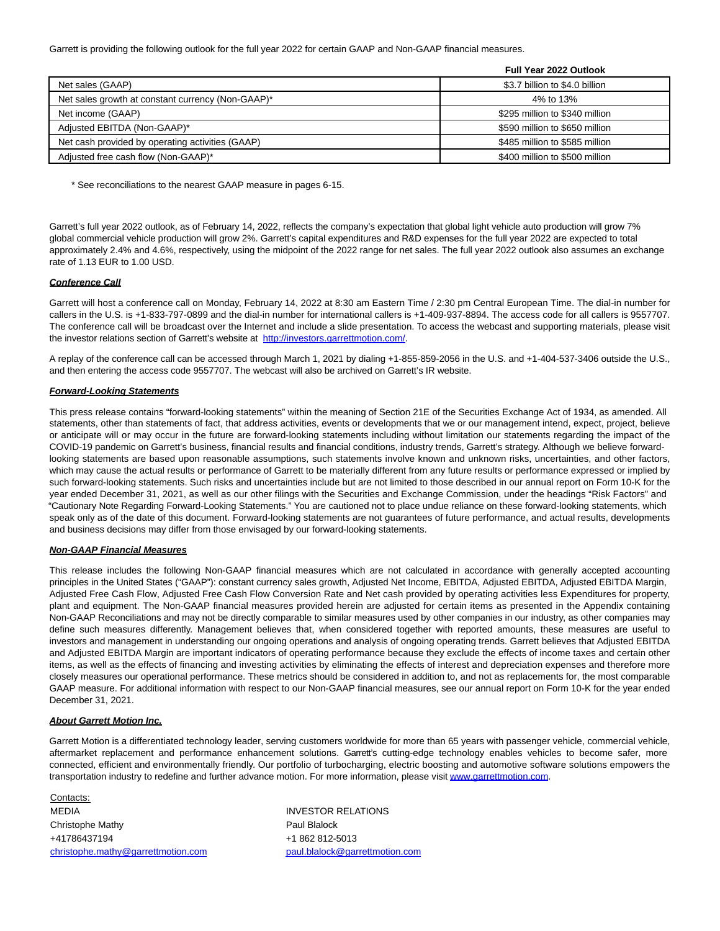Garrett is providing the following outlook for the full year 2022 for certain GAAP and Non-GAAP financial measures.

|                                                   | Full Year 2022 Outlook         |
|---------------------------------------------------|--------------------------------|
| Net sales (GAAP)                                  | \$3.7 billion to \$4.0 billion |
| Net sales growth at constant currency (Non-GAAP)* | 4% to 13%                      |
| Net income (GAAP)                                 | \$295 million to \$340 million |
| Adjusted EBITDA (Non-GAAP)*                       | \$590 million to \$650 million |
| Net cash provided by operating activities (GAAP)  | \$485 million to \$585 million |
| Adjusted free cash flow (Non-GAAP)*               | \$400 million to \$500 million |

\* See reconciliations to the nearest GAAP measure in pages 6-15.

Garrett's full year 2022 outlook, as of February 14, 2022, reflects the company's expectation that global light vehicle auto production will grow 7% global commercial vehicle production will grow 2%. Garrett's capital expenditures and R&D expenses for the full year 2022 are expected to total approximately 2.4% and 4.6%, respectively, using the midpoint of the 2022 range for net sales. The full year 2022 outlook also assumes an exchange rate of 1.13 EUR to 1.00 USD.

## **Conference Call**

Garrett will host a conference call on Monday, February 14, 2022 at 8:30 am Eastern Time / 2:30 pm Central European Time. The dial-in number for callers in the U.S. is +1-833-797-0899 and the dial-in number for international callers is +1-409-937-8894. The access code for all callers is 9557707. The conference call will be broadcast over the Internet and include a slide presentation. To access the webcast and supporting materials, please visit the investor relations section of Garrett's website at [http://investors.garrettmotion.com/.](https://www.globenewswire.com/Tracker?data=PkPSSI2bEyGVQhiNO4jb4B9ELuAv9Yk_kfwA_pe9jbYfZIi-ETdBhbrAb-P7DCrtCVggQs_jxtmDAFwosgsJomdSLrNNfiGLVWf5OPS81JAbZp83-4yZbpWztVSsewsL) 

A replay of the conference call can be accessed through March 1, 2021 by dialing +1-855-859-2056 in the U.S. and +1-404-537-3406 outside the U.S., and then entering the access code 9557707. The webcast will also be archived on Garrett's IR website.

## **Forward-Looking Statements**

This press release contains "forward-looking statements" within the meaning of Section 21E of the Securities Exchange Act of 1934, as amended. All statements, other than statements of fact, that address activities, events or developments that we or our management intend, expect, project, believe or anticipate will or may occur in the future are forward-looking statements including without limitation our statements regarding the impact of the COVID-19 pandemic on Garrett's business, financial results and financial conditions, industry trends, Garrett's strategy. Although we believe forwardlooking statements are based upon reasonable assumptions, such statements involve known and unknown risks, uncertainties, and other factors, which may cause the actual results or performance of Garrett to be materially different from any future results or performance expressed or implied by such forward-looking statements. Such risks and uncertainties include but are not limited to those described in our annual report on Form 10-K for the year ended December 31, 2021, as well as our other filings with the Securities and Exchange Commission, under the headings "Risk Factors" and "Cautionary Note Regarding Forward-Looking Statements." You are cautioned not to place undue reliance on these forward-looking statements, which speak only as of the date of this document. Forward-looking statements are not guarantees of future performance, and actual results, developments and business decisions may differ from those envisaged by our forward-looking statements.

## **Non-GAAP Financial Measures**

This release includes the following Non-GAAP financial measures which are not calculated in accordance with generally accepted accounting principles in the United States ("GAAP"): constant currency sales growth, Adjusted Net Income, EBITDA, Adjusted EBITDA, Adjusted EBITDA Margin, Adjusted Free Cash Flow, Adjusted Free Cash Flow Conversion Rate and Net cash provided by operating activities less Expenditures for property, plant and equipment. The Non-GAAP financial measures provided herein are adjusted for certain items as presented in the Appendix containing Non-GAAP Reconciliations and may not be directly comparable to similar measures used by other companies in our industry, as other companies may define such measures differently. Management believes that, when considered together with reported amounts, these measures are useful to investors and management in understanding our ongoing operations and analysis of ongoing operating trends. Garrett believes that Adjusted EBITDA and Adjusted EBITDA Margin are important indicators of operating performance because they exclude the effects of income taxes and certain other items, as well as the effects of financing and investing activities by eliminating the effects of interest and depreciation expenses and therefore more closely measures our operational performance. These metrics should be considered in addition to, and not as replacements for, the most comparable GAAP measure. For additional information with respect to our Non-GAAP financial measures, see our annual report on Form 10-K for the year ended December 31, 2021.

## **About Garrett Motion Inc.**

Garrett Motion is a differentiated technology leader, serving customers worldwide for more than 65 years with passenger vehicle, commercial vehicle, aftermarket replacement and performance enhancement solutions. Garrett's cutting-edge technology enables vehicles to become safer, more connected, efficient and environmentally friendly. Our portfolio of turbocharging, electric boosting and automotive software solutions empowers the transportation industry to redefine and further advance motion. For more information, please visit www.garrettmotion.com.

Contacts: MEDIA **INVESTOR RELATIONS** Christophe Mathy **Paul Blalock** +41786437194 +1 862 812-5013 [christophe.mathy@garrettmotion.com](mailto:christophe.mathy@garrettmotion.com) [paul.blalock@garrettmotion.com](mailto:paul.blalock@garrettmotion.com)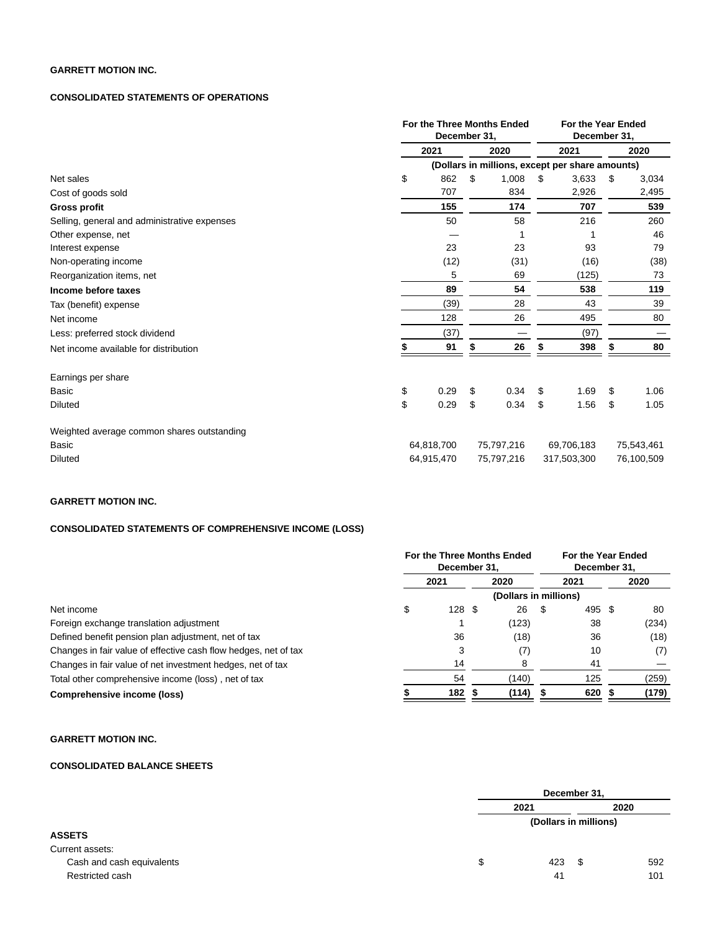## **GARRETT MOTION INC.**

## **CONSOLIDATED STATEMENTS OF OPERATIONS**

|                                              | For the Three Months Ended<br>December 31, |    |            |      | For the Year Ended<br>December 31,              |      |            |  |
|----------------------------------------------|--------------------------------------------|----|------------|------|-------------------------------------------------|------|------------|--|
|                                              | 2021                                       |    | 2020       | 2021 |                                                 | 2020 |            |  |
|                                              |                                            |    |            |      | (Dollars in millions, except per share amounts) |      |            |  |
| Net sales                                    | \$<br>862                                  | \$ | 1,008      | \$   | 3,633                                           | \$   | 3,034      |  |
| Cost of goods sold                           | 707                                        |    | 834        |      | 2,926                                           |      | 2,495      |  |
| <b>Gross profit</b>                          | 155                                        |    | 174        |      | 707                                             |      | 539        |  |
| Selling, general and administrative expenses | 50                                         |    | 58         |      | 216                                             |      | 260        |  |
| Other expense, net                           |                                            |    |            |      |                                                 |      | 46         |  |
| Interest expense                             | 23                                         |    | 23         |      | 93                                              |      | 79         |  |
| Non-operating income                         | (12)                                       |    | (31)       |      | (16)                                            |      | (38)       |  |
| Reorganization items, net                    | 5                                          |    | 69         |      | (125)                                           |      | 73         |  |
| Income before taxes                          | 89                                         |    | 54         |      | 538                                             |      | 119        |  |
| Tax (benefit) expense                        | (39)                                       |    | 28         |      | 43                                              |      | 39         |  |
| Net income                                   | 128                                        |    | 26         |      | 495                                             |      | 80         |  |
| Less: preferred stock dividend               | (37)                                       |    |            |      | (97)                                            |      |            |  |
| Net income available for distribution        | 91                                         |    | 26         |      | 398                                             |      | 80         |  |
| Earnings per share                           |                                            |    |            |      |                                                 |      |            |  |
| Basic                                        | \$<br>0.29                                 | \$ | 0.34       | \$   | 1.69                                            | \$   | 1.06       |  |
| Diluted                                      | \$<br>0.29                                 | \$ | 0.34       | \$   | 1.56                                            | \$   | 1.05       |  |
| Weighted average common shares outstanding   |                                            |    |            |      |                                                 |      |            |  |
| Basic                                        | 64,818,700                                 |    | 75,797,216 |      | 69,706,183                                      |      | 75,543,461 |  |
| <b>Diluted</b>                               | 64,915,470                                 |    | 75,797,216 |      | 317,503,300                                     |      | 76,100,509 |  |

## **GARRETT MOTION INC.**

## **CONSOLIDATED STATEMENTS OF COMPREHENSIVE INCOME (LOSS)**

|                                                                 | For the Three Months Ended<br>December 31. |      |  |       |      | For the Year Ended<br>December 31. |  |       |  |  |
|-----------------------------------------------------------------|--------------------------------------------|------|--|-------|------|------------------------------------|--|-------|--|--|
|                                                                 | 2021                                       |      |  | 2020  | 2021 |                                    |  | 2020  |  |  |
|                                                                 | (Dollars in millions)                      |      |  |       |      |                                    |  |       |  |  |
| Net income                                                      | \$                                         | 128S |  | 26    | S    | 495 \$                             |  | 80    |  |  |
| Foreign exchange translation adjustment                         |                                            |      |  | (123) |      | 38                                 |  | (234) |  |  |
| Defined benefit pension plan adjustment, net of tax             |                                            | 36   |  | (18)  |      | 36                                 |  | (18)  |  |  |
| Changes in fair value of effective cash flow hedges, net of tax |                                            | 3    |  | (7)   |      | 10                                 |  | (7)   |  |  |
| Changes in fair value of net investment hedges, net of tax      |                                            | 14   |  |       |      | 41                                 |  |       |  |  |
| Total other comprehensive income (loss), net of tax             |                                            | 54   |  | (140) |      | 125                                |  | (259) |  |  |
| Comprehensive income (loss)                                     |                                            | 182  |  | (114) |      | 620 \$                             |  | (179) |  |  |

**GARRETT MOTION INC.**

# **CONSOLIDATED BALANCE SHEETS**

|                           | December 31,          |      |     |  |  |  |
|---------------------------|-----------------------|------|-----|--|--|--|
|                           | 2021                  |      |     |  |  |  |
|                           | (Dollars in millions) |      |     |  |  |  |
| <b>ASSETS</b>             |                       |      |     |  |  |  |
| Current assets:           |                       |      |     |  |  |  |
| Cash and cash equivalents | \$<br>423             | - \$ | 592 |  |  |  |
| Restricted cash           | 41                    |      | 101 |  |  |  |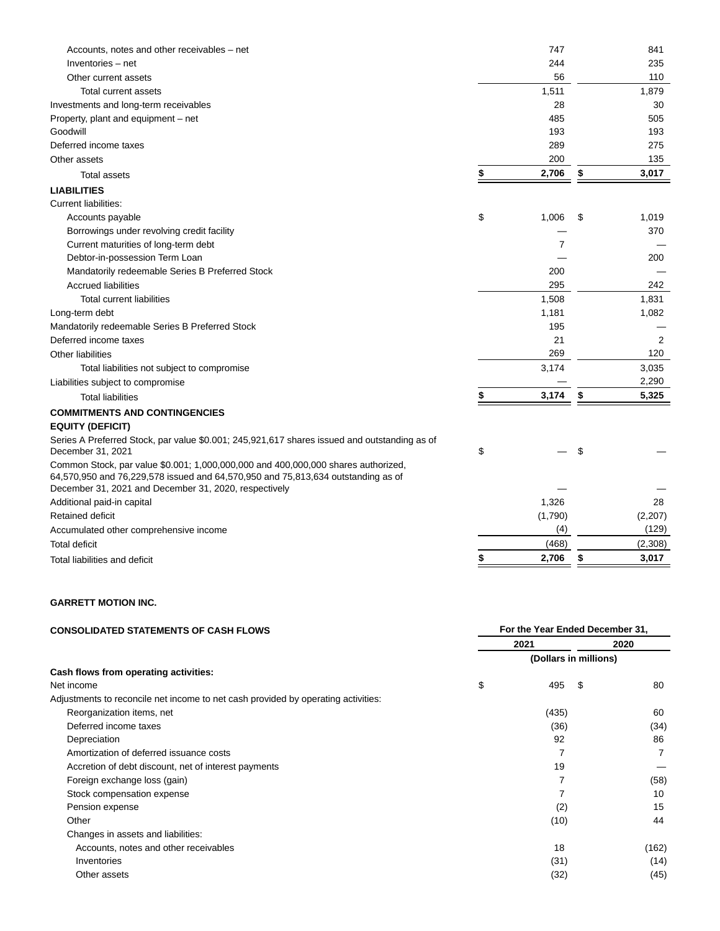| Accounts, notes and other receivables – net                                                                                                                           | 747         | 841         |
|-----------------------------------------------------------------------------------------------------------------------------------------------------------------------|-------------|-------------|
| Inventories - net                                                                                                                                                     | 244         | 235         |
| Other current assets                                                                                                                                                  | 56          | 110         |
| Total current assets                                                                                                                                                  | 1,511       | 1,879       |
| Investments and long-term receivables                                                                                                                                 | 28          | 30          |
| Property, plant and equipment - net                                                                                                                                   | 485         | 505         |
| Goodwill                                                                                                                                                              | 193         | 193         |
| Deferred income taxes                                                                                                                                                 | 289         | 275         |
| Other assets                                                                                                                                                          | 200         | 135         |
| <b>Total assets</b>                                                                                                                                                   | \$<br>2,706 | \$<br>3,017 |
| <b>LIABILITIES</b>                                                                                                                                                    |             |             |
| <b>Current liabilities:</b>                                                                                                                                           |             |             |
| Accounts payable                                                                                                                                                      | \$<br>1,006 | \$<br>1,019 |
| Borrowings under revolving credit facility                                                                                                                            |             | 370         |
| Current maturities of long-term debt                                                                                                                                  | 7           |             |
| Debtor-in-possession Term Loan                                                                                                                                        |             | 200         |
| Mandatorily redeemable Series B Preferred Stock                                                                                                                       | 200         |             |
| <b>Accrued liabilities</b>                                                                                                                                            | 295         | 242         |
| <b>Total current liabilities</b>                                                                                                                                      | 1,508       | 1,831       |
| Long-term debt                                                                                                                                                        | 1,181       | 1,082       |
| Mandatorily redeemable Series B Preferred Stock                                                                                                                       | 195         |             |
| Deferred income taxes                                                                                                                                                 | 21          | 2           |
| <b>Other liabilities</b>                                                                                                                                              | 269         | 120         |
| Total liabilities not subject to compromise                                                                                                                           | 3,174       | 3,035       |
| Liabilities subject to compromise                                                                                                                                     |             | 2,290       |
| <b>Total liabilities</b>                                                                                                                                              | \$<br>3,174 | \$<br>5,325 |
| <b>COMMITMENTS AND CONTINGENCIES</b>                                                                                                                                  |             |             |
| <b>EQUITY (DEFICIT)</b>                                                                                                                                               |             |             |
| Series A Preferred Stock, par value \$0.001; 245,921,617 shares issued and outstanding as of                                                                          |             |             |
| December 31, 2021                                                                                                                                                     | \$          | \$          |
| Common Stock, par value \$0.001; 1,000,000,000 and 400,000,000 shares authorized,<br>64,570,950 and 76,229,578 issued and 64,570,950 and 75,813,634 outstanding as of |             |             |
| December 31, 2021 and December 31, 2020, respectively                                                                                                                 |             |             |
| Additional paid-in capital                                                                                                                                            | 1,326       | 28          |
| Retained deficit                                                                                                                                                      | (1,790)     | (2,207)     |
| Accumulated other comprehensive income                                                                                                                                | (4)         | (129)       |
| Total deficit                                                                                                                                                         | (468)       | (2,308)     |
| Total liabilities and deficit                                                                                                                                         | \$<br>2,706 | \$<br>3,017 |
|                                                                                                                                                                       |             |             |

# **GARRETT MOTION INC.**

| <b>CONSOLIDATED STATEMENTS OF CASH FLOWS</b>                                      | For the Year Ended December 31, |       |                       |       |  |  |  |
|-----------------------------------------------------------------------------------|---------------------------------|-------|-----------------------|-------|--|--|--|
|                                                                                   |                                 | 2021  | 2020                  |       |  |  |  |
|                                                                                   |                                 |       | (Dollars in millions) |       |  |  |  |
| Cash flows from operating activities:                                             |                                 |       |                       |       |  |  |  |
| Net income                                                                        | \$                              | 495   | \$                    | 80    |  |  |  |
| Adjustments to reconcile net income to net cash provided by operating activities: |                                 |       |                       |       |  |  |  |
| Reorganization items, net                                                         |                                 | (435) |                       | 60    |  |  |  |
| Deferred income taxes                                                             |                                 | (36)  |                       | (34)  |  |  |  |
| Depreciation                                                                      |                                 | 92    |                       | 86    |  |  |  |
| Amortization of deferred issuance costs                                           |                                 |       |                       |       |  |  |  |
| Accretion of debt discount, net of interest payments                              |                                 | 19    |                       |       |  |  |  |
| Foreign exchange loss (gain)                                                      |                                 |       |                       | (58)  |  |  |  |
| Stock compensation expense                                                        |                                 |       |                       | 10    |  |  |  |
| Pension expense                                                                   |                                 | (2)   |                       | 15    |  |  |  |
| Other                                                                             |                                 | (10)  |                       | 44    |  |  |  |
| Changes in assets and liabilities:                                                |                                 |       |                       |       |  |  |  |
| Accounts, notes and other receivables                                             |                                 | 18    |                       | (162) |  |  |  |
| Inventories                                                                       |                                 | (31)  |                       | (14)  |  |  |  |
| Other assets                                                                      |                                 | (32)  |                       | (45)  |  |  |  |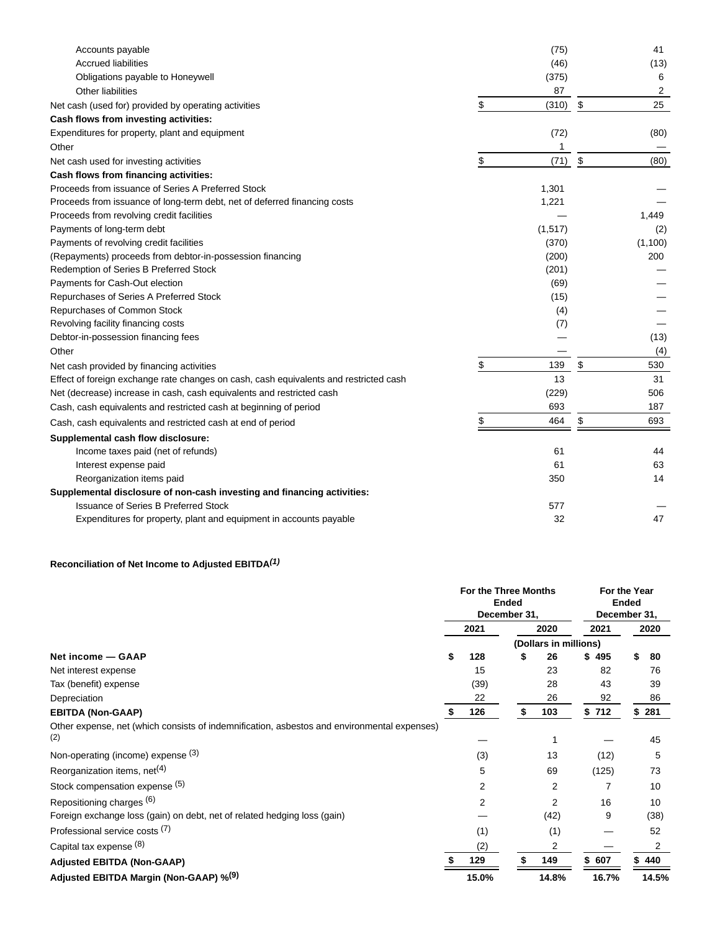| Accounts payable                                                                      | (75)        | 41         |
|---------------------------------------------------------------------------------------|-------------|------------|
| <b>Accrued liabilities</b>                                                            | (46)        | (13)       |
| Obligations payable to Honeywell                                                      | (375)       | 6          |
| <b>Other liabilities</b>                                                              | 87          | 2          |
| Net cash (used for) provided by operating activities                                  | \$<br>(310) | \$<br>25   |
| Cash flows from investing activities:                                                 |             |            |
| Expenditures for property, plant and equipment                                        | (72)        | (80)       |
| Other                                                                                 |             |            |
| Net cash used for investing activities                                                | \$<br>(71)  | \$<br>(80) |
| Cash flows from financing activities:                                                 |             |            |
| Proceeds from issuance of Series A Preferred Stock                                    | 1,301       |            |
| Proceeds from issuance of long-term debt, net of deferred financing costs             | 1,221       |            |
| Proceeds from revolving credit facilities                                             |             | 1.449      |
| Payments of long-term debt                                                            | (1, 517)    | (2)        |
| Payments of revolving credit facilities                                               | (370)       | (1,100)    |
| (Repayments) proceeds from debtor-in-possession financing                             | (200)       | 200        |
| Redemption of Series B Preferred Stock                                                | (201)       |            |
| Payments for Cash-Out election                                                        | (69)        |            |
| Repurchases of Series A Preferred Stock                                               | (15)        |            |
| Repurchases of Common Stock                                                           | (4)         |            |
| Revolving facility financing costs                                                    | (7)         |            |
| Debtor-in-possession financing fees                                                   |             | (13)       |
| Other                                                                                 |             | (4)        |
| Net cash provided by financing activities                                             | \$<br>139   | \$<br>530  |
| Effect of foreign exchange rate changes on cash, cash equivalents and restricted cash | 13          | 31         |
| Net (decrease) increase in cash, cash equivalents and restricted cash                 | (229)       | 506        |
| Cash, cash equivalents and restricted cash at beginning of period                     | 693         | 187        |
| Cash, cash equivalents and restricted cash at end of period                           | \$<br>464   | \$<br>693  |
| Supplemental cash flow disclosure:                                                    |             |            |
| Income taxes paid (net of refunds)                                                    | 61          | 44         |
| Interest expense paid                                                                 | 61          | 63         |
| Reorganization items paid                                                             | 350         | 14         |
| Supplemental disclosure of non-cash investing and financing activities:               |             |            |
| <b>Issuance of Series B Preferred Stock</b>                                           | 577         |            |
| Expenditures for property, plant and equipment in accounts payable                    | 32          | 47         |
|                                                                                       |             |            |

# **Reconciliation of Net Income to Adjusted EBITDA(1)**

|                                                                                                    | For the Three Months<br><b>Ended</b><br>December 31, |       |                       |       |       | For the Year<br><b>Ended</b><br>December 31, |
|----------------------------------------------------------------------------------------------------|------------------------------------------------------|-------|-----------------------|-------|-------|----------------------------------------------|
|                                                                                                    | 2021                                                 |       |                       | 2020  | 2021  | 2020                                         |
|                                                                                                    |                                                      |       | (Dollars in millions) |       |       |                                              |
| Net income - GAAP                                                                                  | S                                                    | 128   | S                     | 26    | \$495 | \$<br>80                                     |
| Net interest expense                                                                               |                                                      | 15    |                       | 23    | 82    | 76                                           |
| Tax (benefit) expense                                                                              |                                                      | (39)  |                       | 28    | 43    | 39                                           |
| Depreciation                                                                                       |                                                      | 22    |                       | 26    | 92    | 86                                           |
| <b>EBITDA (Non-GAAP)</b>                                                                           |                                                      | 126   | \$                    | 103   | \$712 | 281<br>\$                                    |
| Other expense, net (which consists of indemnification, asbestos and environmental expenses)<br>(2) |                                                      |       |                       |       |       | 45                                           |
| Non-operating (income) expense (3)                                                                 |                                                      | (3)   |                       | 13    | (12)  | 5                                            |
| Reorganization items, net <sup>(4)</sup>                                                           |                                                      | 5     |                       | 69    | (125) | 73                                           |
| Stock compensation expense (5)                                                                     |                                                      | 2     |                       | 2     |       | 10                                           |
| Repositioning charges (6)                                                                          |                                                      | 2     |                       | 2     | 16    | 10                                           |
| Foreign exchange loss (gain) on debt, net of related hedging loss (gain)                           |                                                      |       |                       | (42)  | 9     | (38)                                         |
| Professional service costs (7)                                                                     |                                                      | (1)   |                       | (1)   |       | 52                                           |
| Capital tax expense (8)                                                                            |                                                      | (2)   |                       | 2     |       | 2                                            |
| <b>Adjusted EBITDA (Non-GAAP)</b>                                                                  |                                                      | 129   |                       | 149   | 607   | 440                                          |
| Adjusted EBITDA Margin (Non-GAAP) % <sup>(9)</sup>                                                 |                                                      | 15.0% |                       | 14.8% | 16.7% | 14.5%                                        |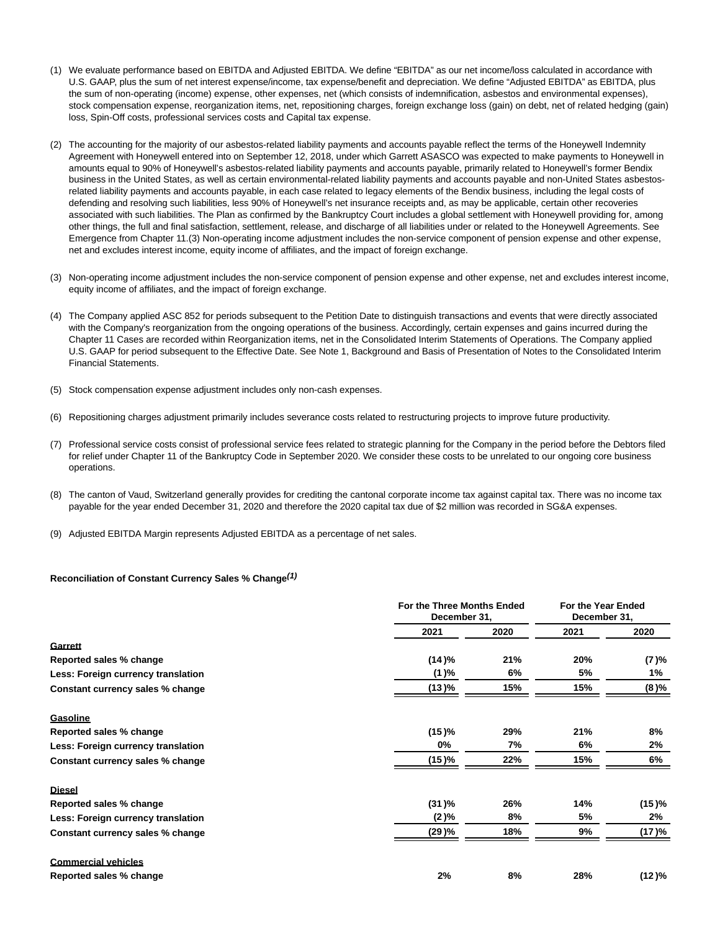- (1) We evaluate performance based on EBITDA and Adjusted EBITDA. We define "EBITDA" as our net income/loss calculated in accordance with U.S. GAAP, plus the sum of net interest expense/income, tax expense/benefit and depreciation. We define "Adjusted EBITDA" as EBITDA, plus the sum of non-operating (income) expense, other expenses, net (which consists of indemnification, asbestos and environmental expenses), stock compensation expense, reorganization items, net, repositioning charges, foreign exchange loss (gain) on debt, net of related hedging (gain) loss, Spin-Off costs, professional services costs and Capital tax expense.
- (2) The accounting for the majority of our asbestos-related liability payments and accounts payable reflect the terms of the Honeywell Indemnity Agreement with Honeywell entered into on September 12, 2018, under which Garrett ASASCO was expected to make payments to Honeywell in amounts equal to 90% of Honeywell's asbestos-related liability payments and accounts payable, primarily related to Honeywell's former Bendix business in the United States, as well as certain environmental-related liability payments and accounts payable and non-United States asbestosrelated liability payments and accounts payable, in each case related to legacy elements of the Bendix business, including the legal costs of defending and resolving such liabilities, less 90% of Honeywell's net insurance receipts and, as may be applicable, certain other recoveries associated with such liabilities. The Plan as confirmed by the Bankruptcy Court includes a global settlement with Honeywell providing for, among other things, the full and final satisfaction, settlement, release, and discharge of all liabilities under or related to the Honeywell Agreements. See Emergence from Chapter 11.(3) Non-operating income adjustment includes the non-service component of pension expense and other expense, net and excludes interest income, equity income of affiliates, and the impact of foreign exchange.
- (3) Non-operating income adjustment includes the non-service component of pension expense and other expense, net and excludes interest income, equity income of affiliates, and the impact of foreign exchange.
- (4) The Company applied ASC 852 for periods subsequent to the Petition Date to distinguish transactions and events that were directly associated with the Company's reorganization from the ongoing operations of the business. Accordingly, certain expenses and gains incurred during the Chapter 11 Cases are recorded within Reorganization items, net in the Consolidated Interim Statements of Operations. The Company applied U.S. GAAP for period subsequent to the Effective Date. See Note 1, Background and Basis of Presentation of Notes to the Consolidated Interim Financial Statements.
- (5) Stock compensation expense adjustment includes only non-cash expenses.
- (6) Repositioning charges adjustment primarily includes severance costs related to restructuring projects to improve future productivity.
- (7) Professional service costs consist of professional service fees related to strategic planning for the Company in the period before the Debtors filed for relief under Chapter 11 of the Bankruptcy Code in September 2020. We consider these costs to be unrelated to our ongoing core business operations.
- (8) The canton of Vaud, Switzerland generally provides for crediting the cantonal corporate income tax against capital tax. There was no income tax payable for the year ended December 31, 2020 and therefore the 2020 capital tax due of \$2 million was recorded in SG&A expenses.
- (9) Adjusted EBITDA Margin represents Adjusted EBITDA as a percentage of net sales.

#### **Reconciliation of Constant Currency Sales % Change(1)**

|                                    |         | For the Three Months Ended<br>December 31, |      |        |
|------------------------------------|---------|--------------------------------------------|------|--------|
|                                    | 2021    | 2020                                       | 2021 | 2020   |
| Garrett                            |         |                                            |      |        |
| Reported sales % change            | (14)%   | 21%                                        | 20%  | (7 )%  |
| Less: Foreign currency translation | (1)%    | 6%                                         | 5%   | 1%     |
| Constant currency sales % change   | (13)%   | 15%                                        | 15%  | (8)%   |
| Gasoline                           |         |                                            |      |        |
| Reported sales % change            | (15)%   | 29%                                        | 21%  | 8%     |
| Less: Foreign currency translation | 0%      | 7%                                         | 6%   | 2%     |
| Constant currency sales % change   | (15)%   | 22%                                        | 15%  | 6%     |
| <b>Diesel</b>                      |         |                                            |      |        |
| Reported sales % change            | (31)%   | 26%                                        | 14%  | (15)%  |
| Less: Foreign currency translation | $(2)\%$ | 8%                                         | 5%   | 2%     |
| Constant currency sales % change   | (29 )%  | 18%                                        | 9%   | (17 )% |
| <b>Commercial vehicles</b>         |         |                                            |      |        |
| Reported sales % change            | 2%      | 8%                                         | 28%  | (12)%  |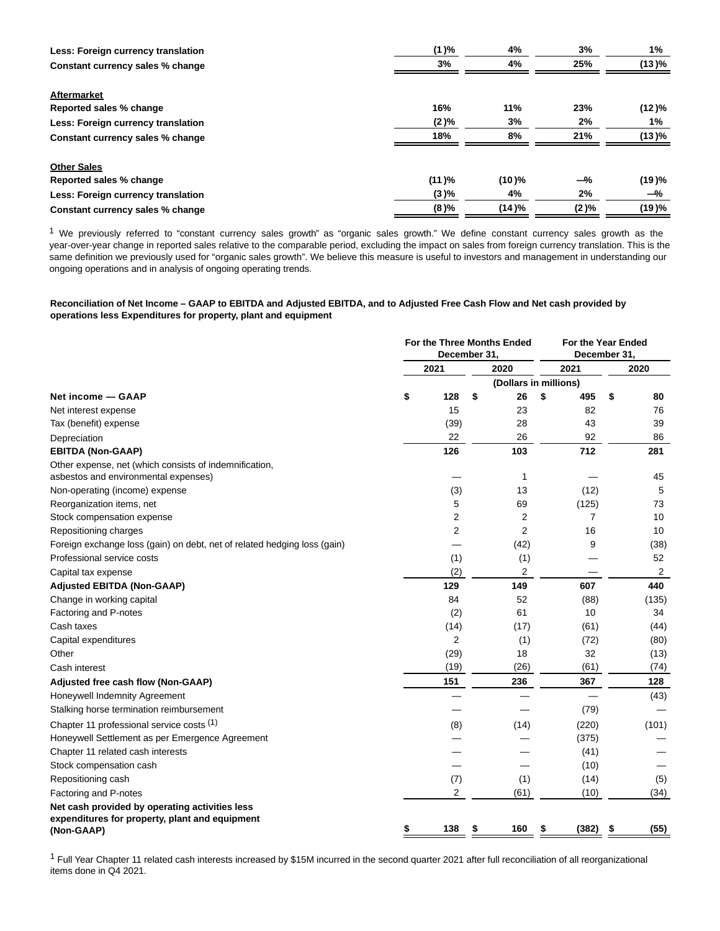| Less: Foreign currency translation | (1)%  | 4%       | 3%      | $1\%$ |
|------------------------------------|-------|----------|---------|-------|
| Constant currency sales % change   | 3%    | 4%       | 25%     | (13)% |
| Aftermarket                        |       |          |         |       |
| Reported sales % change            | 16%   | 11%      | 23%     | (12)% |
| Less: Foreign currency translation | (2)%  | 3%       | 2%      | 1%    |
| Constant currency sales % change   | 18%   | 8%       | 21%     | (13)% |
| <b>Other Sales</b>                 |       |          |         |       |
| Reported sales % change            | (11)% | $(10)\%$ | $-\%$   | (19)% |
| Less: Foreign currency translation | (3)%  | 4%       | 2%      | $-\%$ |
| Constant currency sales % change   | (8)%  | (14)%    | $(2)\%$ | (19)% |

1 We previously referred to "constant currency sales growth" as "organic sales growth." We define constant currency sales growth as the year-over-year change in reported sales relative to the comparable period, excluding the impact on sales from foreign currency translation. This is the same definition we previously used for "organic sales growth". We believe this measure is useful to investors and management in understanding our ongoing operations and in analysis of ongoing operating trends.

## **Reconciliation of Net Income – GAAP to EBITDA and Adjusted EBITDA, and to Adjusted Free Cash Flow and Net cash provided by operations less Expenditures for property, plant and equipment**

|                                                                                                | For the Three Months Ended<br>December 31 |      |    |                         | For the Year Ended<br>December 31. |    |                |
|------------------------------------------------------------------------------------------------|-------------------------------------------|------|----|-------------------------|------------------------------------|----|----------------|
|                                                                                                |                                           | 2021 |    | 2020                    | 2021                               |    | 2020           |
|                                                                                                |                                           |      |    | (Dollars in millions)   |                                    |    |                |
| Net income — GAAP                                                                              | \$                                        | 128  | \$ | 26                      | \$<br>495                          | \$ | 80             |
| Net interest expense                                                                           |                                           | 15   |    | 23                      | 82                                 |    | 76             |
| Tax (benefit) expense                                                                          |                                           | (39) |    | 28                      | 43                                 |    | 39             |
| Depreciation                                                                                   |                                           | 22   |    | 26                      | 92                                 |    | 86             |
| <b>EBITDA (Non-GAAP)</b>                                                                       |                                           | 126  |    | 103                     | 712                                |    | 281            |
| Other expense, net (which consists of indemnification,<br>asbestos and environmental expenses) |                                           |      |    | 1                       |                                    |    | 45             |
| Non-operating (income) expense                                                                 |                                           | (3)  |    | 13                      | (12)                               |    | 5              |
| Reorganization items, net                                                                      |                                           | 5    |    | 69                      | (125)                              |    | 73             |
| Stock compensation expense                                                                     |                                           | 2    |    | 2                       | 7                                  |    | 10             |
| Repositioning charges                                                                          |                                           | 2    |    | $\overline{2}$          | 16                                 |    | 10             |
| Foreign exchange loss (gain) on debt, net of related hedging loss (gain)                       |                                           |      |    | (42)                    | 9                                  |    | (38)           |
| Professional service costs                                                                     |                                           | (1)  |    | (1)                     |                                    |    | 52             |
| Capital tax expense                                                                            |                                           | (2)  |    | $\overline{\mathbf{c}}$ |                                    |    | $\overline{c}$ |
| <b>Adjusted EBITDA (Non-GAAP)</b>                                                              |                                           | 129  |    | 149                     | 607                                |    | 440            |
| Change in working capital                                                                      |                                           | 84   |    | 52                      | (88)                               |    | (135)          |
| Factoring and P-notes                                                                          |                                           | (2)  |    | 61                      | 10                                 |    | 34             |
| Cash taxes                                                                                     |                                           | (14) |    | (17)                    | (61)                               |    | (44)           |
| Capital expenditures                                                                           |                                           | 2    |    | (1)                     | (72)                               |    | (80)           |
| Other                                                                                          |                                           | (29) |    | 18                      | 32                                 |    | (13)           |
| Cash interest                                                                                  |                                           | (19) |    | (26)                    | (61)                               |    | (74)           |
| Adjusted free cash flow (Non-GAAP)                                                             |                                           | 151  |    | 236                     | 367                                |    | 128            |
| Honeywell Indemnity Agreement                                                                  |                                           |      |    |                         |                                    |    | (43)           |
| Stalking horse termination reimbursement                                                       |                                           |      |    |                         | (79)                               |    |                |
| Chapter 11 professional service costs (1)                                                      |                                           | (8)  |    | (14)                    | (220)                              |    | (101)          |
| Honeywell Settlement as per Emergence Agreement                                                |                                           |      |    |                         | (375)                              |    |                |
| Chapter 11 related cash interests                                                              |                                           |      |    |                         | (41)                               |    |                |
| Stock compensation cash                                                                        |                                           |      |    |                         | (10)                               |    |                |
| Repositioning cash                                                                             |                                           | (7)  |    | (1)                     | (14)                               |    | (5)            |
| Factoring and P-notes                                                                          |                                           | 2    |    | (61)                    | (10)                               |    | (34)           |
| Net cash provided by operating activities less                                                 |                                           |      |    |                         |                                    |    |                |
| expenditures for property, plant and equipment<br>(Non-GAAP)                                   |                                           | 138  |    | 160                     | \$<br>(382)                        |    | (55)           |

<sup>1</sup> Full Year Chapter 11 related cash interests increased by \$15M incurred in the second quarter 2021 after full reconciliation of all reorganizational items done in Q4 2021.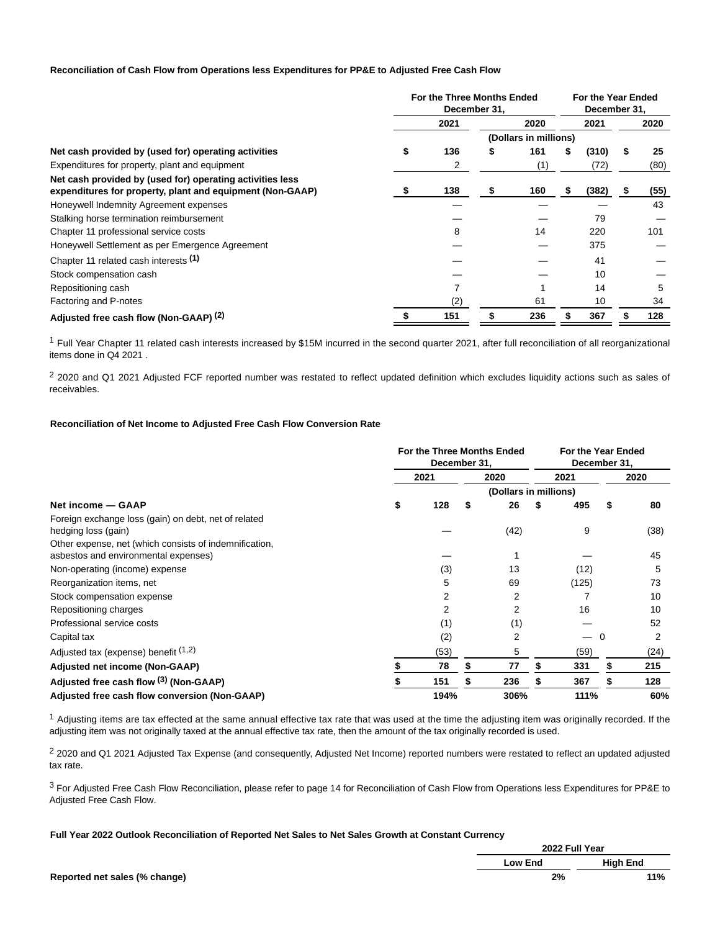## **Reconciliation of Cash Flow from Operations less Expenditures for PP&E to Adjusted Free Cash Flow**

|                                                                                                                        | For the Three Months Ended<br>December 31. |      |  |      | For the Year Ended<br>December 31, |       |  |      |
|------------------------------------------------------------------------------------------------------------------------|--------------------------------------------|------|--|------|------------------------------------|-------|--|------|
|                                                                                                                        |                                            | 2021 |  | 2020 |                                    | 2021  |  | 2020 |
|                                                                                                                        | (Dollars in millions)                      |      |  |      |                                    |       |  |      |
| Net cash provided by (used for) operating activities                                                                   |                                            | 136  |  | 161  | \$                                 | (310) |  | 25   |
| Expenditures for property, plant and equipment                                                                         |                                            |      |  | (1)  |                                    | (72)  |  | (80) |
| Net cash provided by (used for) operating activities less<br>expenditures for property, plant and equipment (Non-GAAP) |                                            | 138  |  | 160  | \$                                 | (382) |  | (55) |
| Honeywell Indemnity Agreement expenses                                                                                 |                                            |      |  |      |                                    |       |  | 43   |
| Stalking horse termination reimbursement                                                                               |                                            |      |  |      |                                    | 79    |  |      |
| Chapter 11 professional service costs                                                                                  |                                            | 8    |  | 14   |                                    | 220   |  | 101  |
| Honeywell Settlement as per Emergence Agreement                                                                        |                                            |      |  |      |                                    | 375   |  |      |
| Chapter 11 related cash interests (1)                                                                                  |                                            |      |  |      |                                    | 41    |  |      |
| Stock compensation cash                                                                                                |                                            |      |  |      |                                    | 10    |  |      |
| Repositioning cash                                                                                                     |                                            |      |  |      |                                    | 14    |  | 5    |
| Factoring and P-notes                                                                                                  |                                            | (2)  |  | 61   |                                    | 10    |  | 34   |
| Adjusted free cash flow (Non-GAAP) <sup>(2)</sup>                                                                      |                                            | 151  |  | 236  |                                    | 367   |  | 128  |

<sup>1</sup> Full Year Chapter 11 related cash interests increased by \$15M incurred in the second quarter 2021, after full reconciliation of all reorganizational items done in Q4 2021 .

<sup>2</sup> 2020 and Q1 2021 Adjusted FCF reported number was restated to reflect updated definition which excludes liquidity actions such as sales of receivables.

## **Reconciliation of Net Income to Adjusted Free Cash Flow Conversion Rate**

|                                                                                                | For the Three Months Ended<br>December 31, |      |   |                       | For the Year Ended<br>December 31, |       |    |      |
|------------------------------------------------------------------------------------------------|--------------------------------------------|------|---|-----------------------|------------------------------------|-------|----|------|
|                                                                                                |                                            | 2021 |   | 2020                  |                                    | 2021  |    | 2020 |
|                                                                                                |                                            |      |   | (Dollars in millions) |                                    |       |    |      |
| Net income - GAAP                                                                              | \$                                         | 128  | S | 26                    |                                    | 495   | \$ | 80   |
| Foreign exchange loss (gain) on debt, net of related<br>hedging loss (gain)                    |                                            |      |   | (42)                  |                                    | 9     |    | (38) |
| Other expense, net (which consists of indemnification,<br>asbestos and environmental expenses) |                                            |      |   |                       |                                    |       |    | 45   |
| Non-operating (income) expense                                                                 |                                            | (3)  |   | 13                    |                                    | (12)  |    | 5    |
| Reorganization items, net                                                                      |                                            | 5    |   | 69                    |                                    | (125) |    | 73   |
| Stock compensation expense                                                                     |                                            | 2    |   | 2                     |                                    |       |    | 10   |
| Repositioning charges                                                                          |                                            | 2    |   | 2                     |                                    | 16    |    | 10   |
| Professional service costs                                                                     |                                            | (1)  |   | (1)                   |                                    |       |    | 52   |
| Capital tax                                                                                    |                                            | (2)  |   | 2                     |                                    |       | 0  | 2    |
| Adjusted tax (expense) benefit $(1,2)$                                                         |                                            | (53) |   | 5                     |                                    | (59)  |    | (24) |
| Adjusted net income (Non-GAAP)                                                                 |                                            | 78   |   | 77                    |                                    | 331   | S  | 215  |
| Adjusted free cash flow (3) (Non-GAAP)                                                         |                                            | 151  |   | 236                   |                                    | 367   |    | 128  |
| Adjusted free cash flow conversion (Non-GAAP)                                                  |                                            | 194% |   | 306%                  |                                    | 111%  |    | 60%  |

 $<sup>1</sup>$  Adjusting items are tax effected at the same annual effective tax rate that was used at the time the adjusting item was originally recorded. If the</sup> adjusting item was not originally taxed at the annual effective tax rate, then the amount of the tax originally recorded is used.

2 2020 and Q1 2021 Adjusted Tax Expense (and consequently, Adjusted Net Income) reported numbers were restated to reflect an updated adjusted tax rate.

3 For Adjusted Free Cash Flow Reconciliation, please refer to page 14 for Reconciliation of Cash Flow from Operations less Expenditures for PP&E to Adjusted Free Cash Flow.

**Full Year 2022 Outlook Reconciliation of Reported Net Sales to Net Sales Growth at Constant Currency**

|                               | <b>2022 Full Tear</b> |                 |  |
|-------------------------------|-----------------------|-----------------|--|
|                               | Low End               | <b>High End</b> |  |
| Reported net sales (% change) | 2%                    | 11%             |  |

**2022 Full Year**